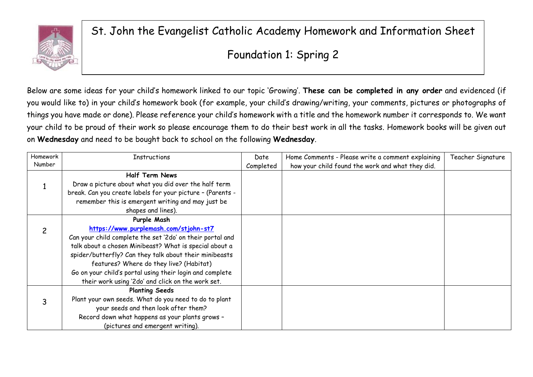

St. John the Evangelist Catholic Academy Homework and Information Sheet

## Foundation 1: Spring 2

Below are some ideas for your child's homework linked to our topic 'Growing'. **These can be completed in any order** and evidenced (if you would like to) in your child's homework book (for example, your child's drawing/writing, your comments, pictures or photographs of things you have made or done). Please reference your child's homework with a title and the homework number it corresponds to. We want your child to be proud of their work so please encourage them to do their best work in all the tasks. Homework books will be given out on **Wednesday** and need to be bought back to school on the following **Wednesday**.

| Homework | <b>Instructions</b>                                        | Date      | Home Comments - Please write a comment explaining | Teacher Signature |
|----------|------------------------------------------------------------|-----------|---------------------------------------------------|-------------------|
| Number   |                                                            | Completed | how your child found the work and what they did.  |                   |
|          | <b>Half Term News</b>                                      |           |                                                   |                   |
|          | Draw a picture about what you did over the half term       |           |                                                   |                   |
|          | break. Can you create labels for your picture - (Parents - |           |                                                   |                   |
|          | remember this is emergent writing and may just be          |           |                                                   |                   |
|          | shapes and lines).                                         |           |                                                   |                   |
|          | Purple Mash                                                |           |                                                   |                   |
|          | https://www.purplemash.com/stjohn-st7                      |           |                                                   |                   |
|          | Can your child complete the set '2do' on their portal and  |           |                                                   |                   |
|          | talk about a chosen Minibeast? What is special about a     |           |                                                   |                   |
|          | spider/butterfly? Can they talk about their minibeasts     |           |                                                   |                   |
|          | features? Where do they live? (Habitat)                    |           |                                                   |                   |
|          | Go on your child's portal using their login and complete   |           |                                                   |                   |
|          | their work using '2do' and click on the work set.          |           |                                                   |                   |
|          | <b>Planting Seeds</b>                                      |           |                                                   |                   |
|          | Plant your own seeds. What do you need to do to plant      |           |                                                   |                   |
|          | your seeds and then look after them?                       |           |                                                   |                   |
|          | Record down what happens as your plants grows -            |           |                                                   |                   |
|          | (pictures and emergent writing).                           |           |                                                   |                   |